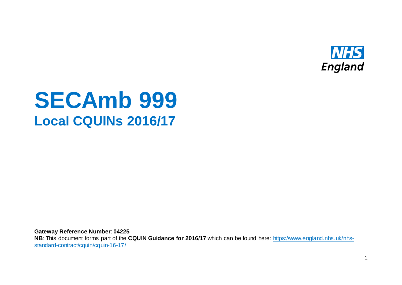

# **SECAmb 999 Local CQUINs 2016/17**

**Gateway Reference Number**: **04225**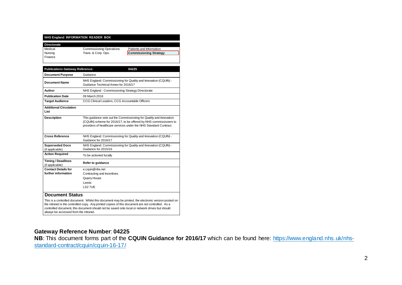| NHS England INFORMATION READER BOX           |                                                                                                                                                                                                               |                                                                                                                                                                                                                                                                                                             |
|----------------------------------------------|---------------------------------------------------------------------------------------------------------------------------------------------------------------------------------------------------------------|-------------------------------------------------------------------------------------------------------------------------------------------------------------------------------------------------------------------------------------------------------------------------------------------------------------|
| <b>Directorate</b>                           |                                                                                                                                                                                                               |                                                                                                                                                                                                                                                                                                             |
| Medical                                      | <b>Commissioning Operations</b>                                                                                                                                                                               | Patients and Information                                                                                                                                                                                                                                                                                    |
| Nursing                                      | Trans. & Corp. Ops.                                                                                                                                                                                           | <b>Commissioning Strategy</b>                                                                                                                                                                                                                                                                               |
| Finance                                      |                                                                                                                                                                                                               |                                                                                                                                                                                                                                                                                                             |
|                                              |                                                                                                                                                                                                               |                                                                                                                                                                                                                                                                                                             |
| <b>Publications Gateway Reference:</b>       |                                                                                                                                                                                                               | 04225                                                                                                                                                                                                                                                                                                       |
| <b>Document Purpose</b>                      | Guidance                                                                                                                                                                                                      |                                                                                                                                                                                                                                                                                                             |
| <b>Document Name</b>                         | Guidance Technical Annex for 2016/17                                                                                                                                                                          | NHS England: Commissioning for Quality and Innovation (CQUIN) -                                                                                                                                                                                                                                             |
| Author                                       | NHS England - Commissioning Strategy Directorate                                                                                                                                                              |                                                                                                                                                                                                                                                                                                             |
| <b>Publication Date</b>                      | 09 March 2016                                                                                                                                                                                                 |                                                                                                                                                                                                                                                                                                             |
| <b>Target Audience</b>                       | CCG Clinical Leaders, CCG Accountable Officers                                                                                                                                                                |                                                                                                                                                                                                                                                                                                             |
| <b>Additional Circulation</b><br>List        |                                                                                                                                                                                                               |                                                                                                                                                                                                                                                                                                             |
| <b>Description</b>                           | This quidance sets out the Commissioning for Quality and Innovation<br>(CQUIN) scheme for 2016/17, to be offered by NHS commissioners to<br>providers of healthcare services under the NHS Standard Contract. |                                                                                                                                                                                                                                                                                                             |
| <b>Cross Reference</b>                       | Guidance for 2016/17                                                                                                                                                                                          | NHS England: Commissioning for Quality and Innovation (CQUIN) -                                                                                                                                                                                                                                             |
| <b>Superseded Docs</b><br>(if applicable)    | NHS England: Commissioning for Quality and Innovation (CQUIN) -<br>Guidance for 2015/16                                                                                                                       |                                                                                                                                                                                                                                                                                                             |
| <b>Action Required</b>                       | To be actioned locally                                                                                                                                                                                        |                                                                                                                                                                                                                                                                                                             |
| <b>Timing / Deadlines</b><br>(if applicable) | Refer to guidance                                                                                                                                                                                             |                                                                                                                                                                                                                                                                                                             |
| <b>Contact Details for</b>                   | e.cquin@nhs.net                                                                                                                                                                                               |                                                                                                                                                                                                                                                                                                             |
| further information                          | Contracting and Incentives                                                                                                                                                                                    |                                                                                                                                                                                                                                                                                                             |
|                                              | Quarry House                                                                                                                                                                                                  |                                                                                                                                                                                                                                                                                                             |
|                                              | Leeds                                                                                                                                                                                                         |                                                                                                                                                                                                                                                                                                             |
|                                              | LS2 7UE                                                                                                                                                                                                       |                                                                                                                                                                                                                                                                                                             |
| <b>Document Status</b>                       |                                                                                                                                                                                                               |                                                                                                                                                                                                                                                                                                             |
| always be accessed from the intranet.        |                                                                                                                                                                                                               | This is a controlled document. Whilst this document may be printed, the electronic version posted on<br>the intranet is the controlled copy. Any printed copies of this document are not controlled. As a<br>controlled document, this document should not be saved onto local or network drives but should |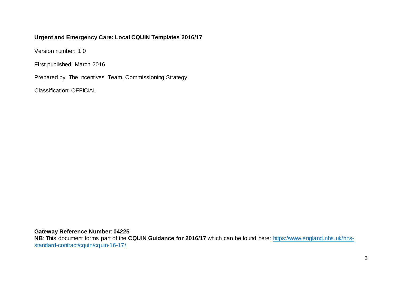#### **Urgent and Emergency Care: Local CQUIN Templates 2016/17**

Version number: 1.0

First published: March 2016

Prepared by: The Incentives Team, Commissioning Strategy

Classification: OFFICIAL

**Gateway Reference Number**: **04225**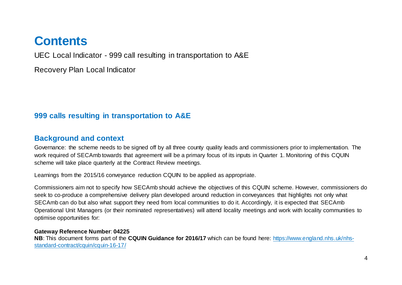## **Contents**

UEC Local Indicator - 999 call resulting in transportation to A&E

Recovery Plan Local Indicator

## **999 calls resulting in transportation to A&E**

## **Background and context**

Governance: the scheme needs to be signed off by all three county quality leads and commissioners prior to implementation. The work required of SECAmb towards that agreement will be a primary focus of its inputs in Quarter 1. Monitoring of this CQUIN scheme will take place quarterly at the Contract Review meetings.

Learnings from the 2015/16 conveyance reduction CQUIN to be applied as appropriate.

Commissioners aim not to specify how SECAmb should achieve the objectives of this CQUIN scheme. However, commissioners do seek to co-produce a comprehensive delivery plan developed around reduction in conveyances that highlights not only what SECAmb can do but also what support they need from local communities to do it. Accordingly, it is expected that SECAmb Operational Unit Managers (or their nominated representatives) will attend locality meetings and work with locality communities to optimise opportunities for:

#### **Gateway Reference Number**: **04225**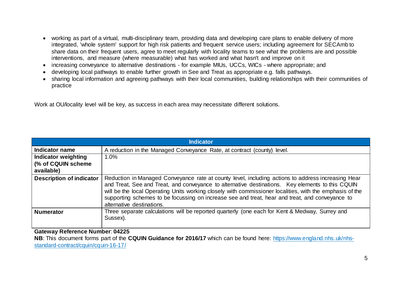- working as part of a virtual, multi-disciplinary team, providing data and developing care plans to enable delivery of more integrated, 'whole system' support for high risk patients and frequent service users; including agreement for SECAmb to share data on their frequent users, agree to meet regularly with locality teams to see what the problems are and possible interventions, and measure (where measurable) what has worked and what hasn't and improve on it
- increasing conveyance to alternative destinations for example MIUs, UCCs, WICs where appropriate; and
- developing local pathways to enable further growth in See and Treat as appropriate e.g. falls pathways.
- sharing local information and agreeing pathways with their local communities, building relationships with their communities of practice

Work at OU/locality level will be key, as success in each area may necessitate different solutions.

|                                                                 | Indicator                                                                                                                                                                                                                                                                                                                                                                                                                                          |
|-----------------------------------------------------------------|----------------------------------------------------------------------------------------------------------------------------------------------------------------------------------------------------------------------------------------------------------------------------------------------------------------------------------------------------------------------------------------------------------------------------------------------------|
| Indicator name                                                  | A reduction in the Managed Conveyance Rate, at contract (county) level.                                                                                                                                                                                                                                                                                                                                                                            |
| <b>Indicator weighting</b><br>(% of CQUIN scheme)<br>available) | 1.0%                                                                                                                                                                                                                                                                                                                                                                                                                                               |
| <b>Description of indicator</b>                                 | Reduction in Managed Conveyance rate at county level, including actions to address increasing Hear<br>and Treat, See and Treat, and conveyance to alternative destinations. Key elements to this CQUIN<br>will be the local Operating Units working closely with commissioner localities, with the emphasis of the<br>supporting schemes to be focussing on increase see and treat, hear and treat, and conveyance to<br>alternative destinations. |
| <b>Numerator</b>                                                | Three separate calculations will be reported quarterly (one each for Kent & Medway, Surrey and<br>Sussex).                                                                                                                                                                                                                                                                                                                                         |

**Gateway Reference Number**: **04225**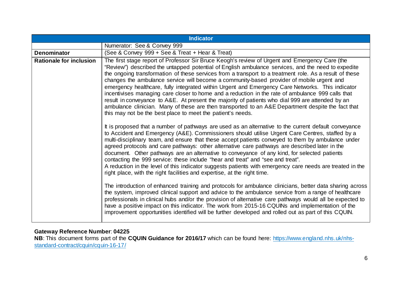|                                | <b>Indicator</b>                                                                                                                                                                                                                                                                                                                                                                                                                                                                                                                                                                                                                                                                                                                                                                                                                                                                                                                                                                                                                                                                                                                                                                                                                                                                                                                                                                                                                                                                                                                                                                                                                                                                                                                                                                                                                                                                                                                                                                                                                                                                                                                                                                                                                            |
|--------------------------------|---------------------------------------------------------------------------------------------------------------------------------------------------------------------------------------------------------------------------------------------------------------------------------------------------------------------------------------------------------------------------------------------------------------------------------------------------------------------------------------------------------------------------------------------------------------------------------------------------------------------------------------------------------------------------------------------------------------------------------------------------------------------------------------------------------------------------------------------------------------------------------------------------------------------------------------------------------------------------------------------------------------------------------------------------------------------------------------------------------------------------------------------------------------------------------------------------------------------------------------------------------------------------------------------------------------------------------------------------------------------------------------------------------------------------------------------------------------------------------------------------------------------------------------------------------------------------------------------------------------------------------------------------------------------------------------------------------------------------------------------------------------------------------------------------------------------------------------------------------------------------------------------------------------------------------------------------------------------------------------------------------------------------------------------------------------------------------------------------------------------------------------------------------------------------------------------------------------------------------------------|
|                                | Numerator: See & Convey 999                                                                                                                                                                                                                                                                                                                                                                                                                                                                                                                                                                                                                                                                                                                                                                                                                                                                                                                                                                                                                                                                                                                                                                                                                                                                                                                                                                                                                                                                                                                                                                                                                                                                                                                                                                                                                                                                                                                                                                                                                                                                                                                                                                                                                 |
| <b>Denominator</b>             | (See & Convey 999 + See & Treat + Hear & Treat)                                                                                                                                                                                                                                                                                                                                                                                                                                                                                                                                                                                                                                                                                                                                                                                                                                                                                                                                                                                                                                                                                                                                                                                                                                                                                                                                                                                                                                                                                                                                                                                                                                                                                                                                                                                                                                                                                                                                                                                                                                                                                                                                                                                             |
| <b>Rationale for inclusion</b> | The first stage report of Professor Sir Bruce Keogh's review of Urgent and Emergency Care (the<br>"Review") described the untapped potential of English ambulance services, and the need to expedite<br>the ongoing transformation of these services from a transport to a treatment role. As a result of these<br>changes the ambulance service will become a community-based provider of mobile urgent and<br>emergency healthcare, fully integrated within Urgent and Emergency Care Networks. This indicator<br>incentivises managing care closer to home and a reduction in the rate of ambulance 999 calls that<br>result in conveyance to A&E. At present the majority of patients who dial 999 are attended by an<br>ambulance clinician. Many of these are then transported to an A&E Department despite the fact that<br>this may not be the best place to meet the patient's needs.<br>It is proposed that a number of pathways are used as an alternative to the current default conveyance<br>to Accident and Emergency (A&E). Commissioners should utilise Urgent Care Centres, staffed by a<br>multi-disciplinary team, and ensure that these accept patients conveyed to them by ambulance under<br>agreed protocols and care pathways: other alternative care pathways are described later in the<br>document. Other pathways are an alternative to conveyance of any kind, for selected patients<br>contacting the 999 service: these include "hear and treat" and "see and treat".<br>A reduction in the level of this indicator suggests patients with emergency care needs are treated in the<br>right place, with the right facilities and expertise, at the right time.<br>The introduction of enhanced training and protocols for ambulance clinicians, better data sharing across<br>the system, improved clinical support and advice to the ambulance service from a range of healthcare<br>professionals in clinical hubs and/or the provision of alternative care pathways would all be expected to<br>have a positive impact on this indicator. The work from 2015-16 CQUINs and implementation of the<br>improvement opportunities identified will be further developed and rolled out as part of this CQUIN. |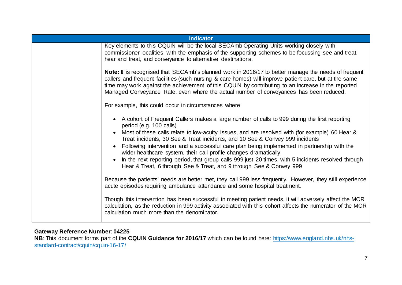| <b>Indicator</b> |                                                                                                                                                                                                                                                                                                                                                                                                                                                                                                                                                                                                                                                              |
|------------------|--------------------------------------------------------------------------------------------------------------------------------------------------------------------------------------------------------------------------------------------------------------------------------------------------------------------------------------------------------------------------------------------------------------------------------------------------------------------------------------------------------------------------------------------------------------------------------------------------------------------------------------------------------------|
|                  | Key elements to this CQUIN will be the local SECAmb Operating Units working closely with<br>commissioner localities, with the emphasis of the supporting schemes to be focussing see and treat,<br>hear and treat, and conveyance to alternative destinations.                                                                                                                                                                                                                                                                                                                                                                                               |
|                  | Note: It is recognised that SECAmb's planned work in 2016/17 to better manage the needs of frequent<br>callers and frequent facilities (such nursing & care homes) will improve patient care, but at the same<br>time may work against the achievement of this CQUIN by contributing to an increase in the reported<br>Managed Conveyance Rate, even where the actual number of conveyances has been reduced.                                                                                                                                                                                                                                                |
|                  | For example, this could occur in circumstances where:                                                                                                                                                                                                                                                                                                                                                                                                                                                                                                                                                                                                        |
|                  | • A cohort of Frequent Callers makes a large number of calls to 999 during the first reporting<br>period (e.g. 100 calls)<br>Most of these calls relate to low-acuity issues, and are resolved with (for example) 60 Hear &<br>Treat incidents, 30 See & Treat incidents, and 10 See & Convey 999 incidents<br>Following intervention and a successful care plan being implemented in partnership with the<br>wider healthcare system, their call profile changes dramatically<br>In the next reporting period, that group calls 999 just 20 times, with 5 incidents resolved through<br>Hear & Treat, 6 through See & Treat, and 9 through See & Convey 999 |
|                  | Because the patients' needs are better met, they call 999 less frequently. However, they still experience<br>acute episodes requiring ambulance attendance and some hospital treatment.                                                                                                                                                                                                                                                                                                                                                                                                                                                                      |
|                  | Though this intervention has been successful in meeting patient needs, it will adversely affect the MCR<br>calculation, as the reduction in 999 activity associated with this cohort affects the numerator of the MCR<br>calculation much more than the denominator.                                                                                                                                                                                                                                                                                                                                                                                         |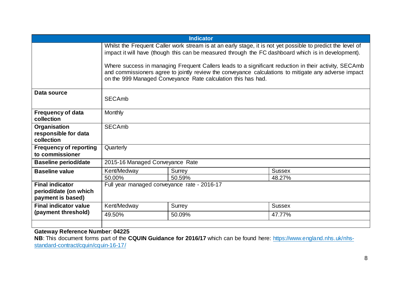| <b>Indicator</b>                                                     |                                                                                                                                                                                                                                                                               |                  |                         |
|----------------------------------------------------------------------|-------------------------------------------------------------------------------------------------------------------------------------------------------------------------------------------------------------------------------------------------------------------------------|------------------|-------------------------|
|                                                                      | Whilst the Frequent Caller work stream is at an early stage, it is not yet possible to predict the level of<br>impact it will have (though this can be measured through the FC dashboard which is in development).                                                            |                  |                         |
|                                                                      | Where success in managing Frequent Callers leads to a significant reduction in their activity, SECAmb<br>and commissioners agree to jointly review the conveyance calculations to mitigate any adverse impact<br>on the 999 Managed Conveyance Rate calculation this has had. |                  |                         |
| Data source                                                          | <b>SECAmb</b>                                                                                                                                                                                                                                                                 |                  |                         |
| <b>Frequency of data</b><br>collection                               | Monthly                                                                                                                                                                                                                                                                       |                  |                         |
| Organisation<br>responsible for data<br>collection                   | <b>SECAmb</b>                                                                                                                                                                                                                                                                 |                  |                         |
| <b>Frequency of reporting</b><br>to commissioner                     | Quarterly                                                                                                                                                                                                                                                                     |                  |                         |
| <b>Baseline period/date</b>                                          | 2015-16 Managed Conveyance Rate                                                                                                                                                                                                                                               |                  |                         |
| <b>Baseline value</b>                                                | Kent/Medway<br>50.00%                                                                                                                                                                                                                                                         | Surrey<br>50.59% | <b>Sussex</b><br>48.27% |
| <b>Final indicator</b><br>period/date (on which<br>payment is based) | Full year managed conveyance rate - 2016-17                                                                                                                                                                                                                                   |                  |                         |
| <b>Final indicator value</b>                                         | Kent/Medway                                                                                                                                                                                                                                                                   | Surrey           | <b>Sussex</b>           |
| (payment threshold)                                                  | 49.50%                                                                                                                                                                                                                                                                        | 50.09%           | 47.77%                  |
|                                                                      |                                                                                                                                                                                                                                                                               |                  |                         |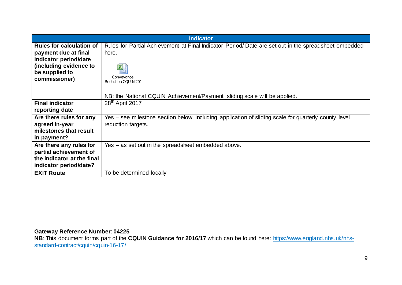|                                          | <b>Indicator</b>                                                                                     |
|------------------------------------------|------------------------------------------------------------------------------------------------------|
| <b>Rules for calculation of</b>          | Rules for Partial Achievement at Final Indicator Period/Date are set out in the spreadsheet embedded |
| payment due at final                     | here.                                                                                                |
| indicator period/date                    |                                                                                                      |
| (including evidence to<br>be supplied to |                                                                                                      |
| commissioner)                            | Conveyance                                                                                           |
|                                          | <b>Reduction CQUIN 201</b>                                                                           |
|                                          |                                                                                                      |
|                                          | NB: the National CQUIN Achievement/Payment sliding scale will be applied.                            |
| <b>Final indicator</b>                   | $28th$ April 2017                                                                                    |
| reporting date                           |                                                                                                      |
| Are there rules for any                  | Yes – see milestone section below, including application of sliding scale for quarterly county level |
| agreed in-year                           | reduction targets.                                                                                   |
| milestones that result                   |                                                                                                      |
| in payment?                              |                                                                                                      |
| Are there any rules for                  | Yes – as set out in the spreadsheet embedded above.                                                  |
| partial achievement of                   |                                                                                                      |
| the indicator at the final               |                                                                                                      |
| indicator period/date?                   |                                                                                                      |
| <b>EXIT Route</b>                        | To be determined locally                                                                             |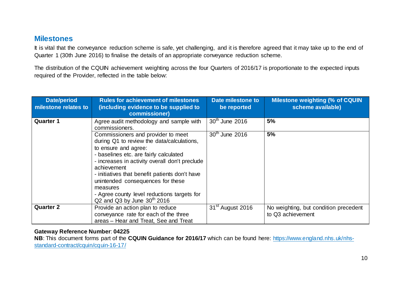## **Milestones**

It is vital that the conveyance reduction scheme is safe, yet challenging, and it is therefore agreed that it may take up to the end of Quarter 1 (30th June 2016) to finalise the details of an appropriate conveyance reduction scheme.

The distribution of the CQUIN achievement weighting across the four Quarters of 2016/17 is proportionate to the expected inputs required of the Provider, reflected in the table below:

| <b>Date/period</b><br>milestone relates to | <b>Rules for achievement of milestones</b><br>(including evidence to be supplied to<br>commissioner)                                                                                                                                                                                                                                                                                                       | Date milestone to<br>be reported | <b>Milestone weighting (% of CQUIN</b><br>scheme available) |
|--------------------------------------------|------------------------------------------------------------------------------------------------------------------------------------------------------------------------------------------------------------------------------------------------------------------------------------------------------------------------------------------------------------------------------------------------------------|----------------------------------|-------------------------------------------------------------|
| <b>Quarter 1</b>                           | Agree audit methodology and sample with<br>commissioners.                                                                                                                                                                                                                                                                                                                                                  | 30 <sup>th</sup> June 2016       | 5%                                                          |
|                                            | Commissioners and provider to meet<br>during Q1 to review the data/calculations,<br>to ensure and agree:<br>- baselines etc. are fairly calculated<br>- increases in activity overall don't preclude<br>achievement<br>- initiatives that benefit patients don't have<br>unintended consequences for these<br>measures<br>- Agree county level reductions targets for<br>$Q2$ and $Q3$ by June $30th$ 2016 | $30th$ June 2016                 | 5%                                                          |
| <b>Quarter 2</b>                           | Provide an action plan to reduce<br>conveyance rate for each of the three<br>areas – Hear and Treat, See and Treat                                                                                                                                                                                                                                                                                         | 31 <sup>st</sup> August 2016     | No weighting, but condition precedent<br>to Q3 achievement  |

#### **Gateway Reference Number**: **04225**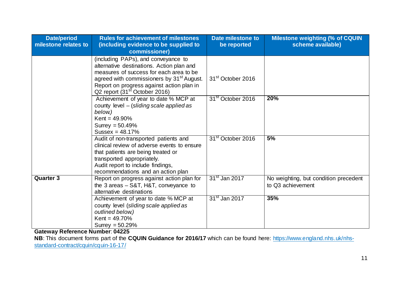| <b>Date/period</b><br>milestone relates to | <b>Rules for achievement of milestones</b><br>(including evidence to be supplied to<br>commissioner)                                                                                                                                                                           | Date milestone to<br>be reported | <b>Milestone weighting (% of CQUIN</b><br>scheme available) |
|--------------------------------------------|--------------------------------------------------------------------------------------------------------------------------------------------------------------------------------------------------------------------------------------------------------------------------------|----------------------------------|-------------------------------------------------------------|
|                                            | (including PAPs), and conveyance to<br>alternative destinations. Action plan and<br>measures of success for each area to be<br>agreed with commissioners by 31 <sup>st</sup> August.<br>Report on progress against action plan in<br>Q2 report (31 <sup>st</sup> October 2016) | 31 <sup>st</sup> October 2016    |                                                             |
|                                            | Achievement of year to date % MCP at<br>county level – (sliding scale applied as<br>below.)<br>Kent = $49.90\%$<br>Surrey $= 50.49\%$<br>Sussex = $48.17%$                                                                                                                     | 31 <sup>st</sup> October 2016    | 20%                                                         |
|                                            | Audit of non-transported patients and<br>clinical review of adverse events to ensure<br>that patients are being treated or<br>transported appropriately.<br>Audit report to include findings,<br>recommendations and an action plan                                            | 31 <sup>st</sup> October 2016    | 5%                                                          |
| <b>Quarter 3</b>                           | Report on progress against action plan for<br>the $3$ areas $-$ S&T, H&T, conveyance to<br>alternative destinations                                                                                                                                                            | 31 <sup>st</sup> Jan 2017        | No weighting, but condition precedent<br>to Q3 achievement  |
|                                            | Achievement of year to date % MCP at<br>county level (sliding scale applied as<br>outlined below.)<br>Kent = $49.70%$<br>Surrey = $50.29%$                                                                                                                                     | 31 <sup>st</sup> Jan 2017        | 35%                                                         |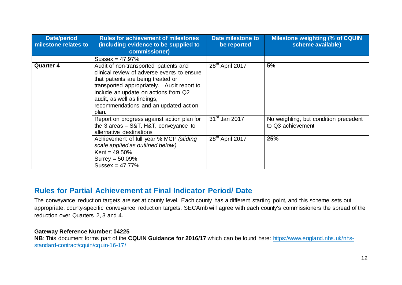| <b>Date/period</b><br>milestone relates to | <b>Rules for achievement of milestones</b><br>(including evidence to be supplied to<br>commissioner)                                                                                                                                                                                              | Date milestone to<br>be reported | <b>Milestone weighting (% of CQUIN</b><br>scheme available) |
|--------------------------------------------|---------------------------------------------------------------------------------------------------------------------------------------------------------------------------------------------------------------------------------------------------------------------------------------------------|----------------------------------|-------------------------------------------------------------|
|                                            | Sussex = $47.97%$                                                                                                                                                                                                                                                                                 |                                  |                                                             |
| <b>Quarter 4</b>                           | Audit of non-transported patients and<br>clinical review of adverse events to ensure<br>that patients are being treated or<br>transported appropriately. Audit report to<br>include an update on actions from Q2<br>audit, as well as findings,<br>recommendations and an updated action<br>plan. | 28 <sup>th</sup> April 2017      | 5%                                                          |
|                                            | Report on progress against action plan for<br>the 3 areas - S&T, H&T, conveyance to<br>alternative destinations                                                                                                                                                                                   | 31 <sup>st</sup> Jan 2017        | No weighting, but condition precedent<br>to Q3 achievement  |
|                                            | Achievement of full year % MCP (sliding<br>scale applied as outlined below.)<br>$Kent = 49.50\%$<br>Surrey = $50.09\%$<br>Sussex = $47.77%$                                                                                                                                                       | 28 <sup>th</sup> April 2017      | 25%                                                         |

## **Rules for Partial Achievement at Final Indicator Period/ Date**

The conveyance reduction targets are set at county level. Each county has a different starting point, and this scheme sets out appropriate, county-specific conveyance reduction targets. SECAmb will agree with each county's commissioners the spread of the reduction over Quarters 2, 3 and 4.

#### **Gateway Reference Number**: **04225**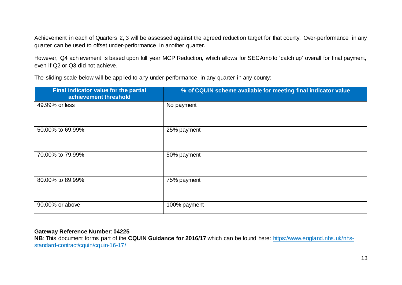Achievement in each of Quarters 2, 3 will be assessed against the agreed reduction target for that county. Over-performance in any quarter can be used to offset under-performance in another quarter.

However, Q4 achievement is based upon full year MCP Reduction, which allows for SECAmb to 'catch up' overall for final payment, even if Q2 or Q3 did not achieve.

The sliding scale below will be applied to any under-performance in any quarter in any county:

| Final indicator value for the partial<br>achievement threshold | % of CQUIN scheme available for meeting final indicator value |
|----------------------------------------------------------------|---------------------------------------------------------------|
| 49.99% or less                                                 | No payment                                                    |
| 50.00% to 69.99%                                               | 25% payment                                                   |
| 70.00% to 79.99%                                               | 50% payment                                                   |
| 80.00% to 89.99%                                               | 75% payment                                                   |
| 90.00% or above                                                | 100% payment                                                  |

#### **Gateway Reference Number**: **04225**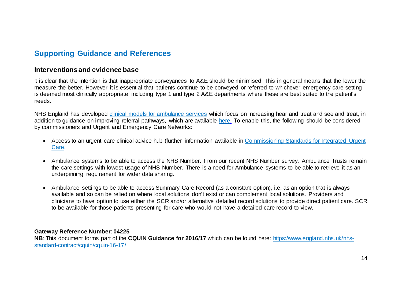## **Supporting Guidance and References**

#### **Interventions and evidence base**

It is clear that the intention is that inappropriate conveyances to A&E should be minimised. This in general means that the lower the measure the better, However it is essential that patients continue to be conveyed or referred to whichever emergency care setting is deemed most clinically appropriate, including type 1 and type 2 A&E departments where these are best suited to the patient's needs.

NHS England has developed [clinical models for ambulance services](http://www.nhs.uk/NHSEngland/keogh-review/Documents/UECR-ambulance-guidance-FV.PDF) which focus on increasing hear and treat and see and treat, in addition to guidance on improving referral pathways, which are available [here.](http://www.nhs.uk/NHSEngland/keogh-review/Documents/improving-referral-pathways-v1-FINAL.PDF) To enable this, the following should be considered by commissioners and Urgent and Emergency Care Networks:

- Access to an urgent care clinical advice hub (further information available in [Commissioning Standards for Integrated Urgent](https://www.england.nhs.uk/wp-content/uploads/2015/10/integrtd-urgnt-care-comms-standrds-oct15.pdf)  [Care.](https://www.england.nhs.uk/wp-content/uploads/2015/10/integrtd-urgnt-care-comms-standrds-oct15.pdf)
- Ambulance systems to be able to access the NHS Number. From our recent NHS Number survey, Ambulance Trusts remain the care settings with lowest usage of NHS Number. There is a need for Ambulance systems to be able to retrieve it as an underpinning requirement for wider data sharing.
- Ambulance settings to be able to access Summary Care Record (as a constant option), i.e. as an option that is always available and so can be relied on where local solutions don't exist or can complement local solutions. Providers and clinicians to have option to use either the SCR and/or alternative detailed record solutions to provide direct patient care. SCR to be available for those patients presenting for care who would not have a detailed care record to view.

#### **Gateway Reference Number**: **04225**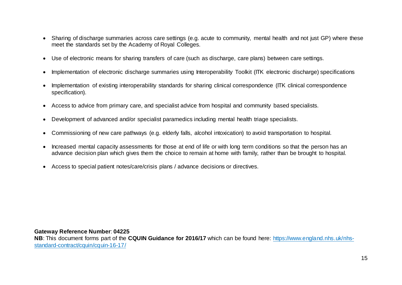- Sharing of discharge summaries across care settings (e.g. acute to community, mental health and not just GP) where these meet the standards set by the Academy of Royal Colleges.
- Use of electronic means for sharing transfers of care (such as discharge, care plans) between care settings.
- Implementation of electronic discharge summaries using Interoperability Toolkit (ITK electronic discharge) specifications
- Implementation of existing interoperability standards for sharing clinical correspondence (ITK clinical correspondence specification).
- Access to advice from primary care, and specialist advice from hospital and community based specialists.
- Development of advanced and/or specialist paramedics including mental health triage specialists.
- Commissioning of new care pathways (e.g. elderly falls, alcohol intoxication) to avoid transportation to hospital.
- Increased mental capacity assessments for those at end of life or with long term conditions so that the person has an advance decision plan which gives them the choice to remain at home with family, rather than be brought to hospital.
- Access to special patient notes/care/crisis plans / advance decisions or directives.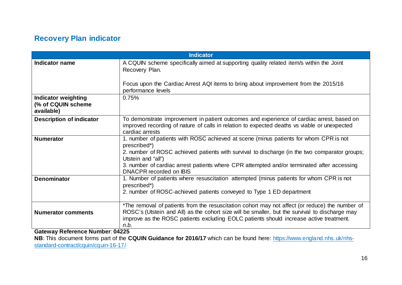## **Recovery Plan indicator**

| <b>Indicator</b>                                                                     |                                                                                                                                                                                                                                                                                                                                                       |  |
|--------------------------------------------------------------------------------------|-------------------------------------------------------------------------------------------------------------------------------------------------------------------------------------------------------------------------------------------------------------------------------------------------------------------------------------------------------|--|
| Indicator name                                                                       | A CQUIN scheme specifically aimed at supporting quality related item/s within the Joint<br>Recovery Plan.                                                                                                                                                                                                                                             |  |
|                                                                                      | Focus upon the Cardiac Arrest AQI items to bring about improvement from the 2015/16<br>performance levels                                                                                                                                                                                                                                             |  |
| <b>Indicator weighting</b><br>(% of CQUIN scheme)<br>available)                      | 0.75%                                                                                                                                                                                                                                                                                                                                                 |  |
| <b>Description of indicator</b>                                                      | To demonstrate improvement in patient outcomes and experience of cardiac arrest, based on<br>improved recording of nature of calls in relation to expected deaths vs viable or unexpected<br>cardiac arrests                                                                                                                                          |  |
| <b>Numerator</b>                                                                     | 1. number of patients with ROSC achieved at scene (minus patients for whom CPR is not<br>prescribed*)<br>2. number of ROSC achieved patients with survival to discharge (in the two comparator groups;<br>Utstein and "all")<br>3. number of cardiac arrest patients where CPR attempted and/or terminated after accessing<br>DNACPR recorded on IBIS |  |
| <b>Denominator</b>                                                                   | 1. Number of patients where resuscitation attempted (minus patients for whom CPR is not<br>prescribed*)<br>2. number of ROSC-achieved patients conveyed to Type 1 ED department                                                                                                                                                                       |  |
| <b>Numerator comments</b><br>8. 8. . <i>. .</i><br>$\sim$ 100 $\mu$ $\sim$ 100 $\mu$ | *The removal of patients from the resuscitation cohort may not affect (or reduce) the number of<br>ROSC's (Utstein and All) as the cohort size will be smaller, but the survival to discharge may<br>improve as the ROSC patients excluding EOLC patients should increase active treatment.<br>n.b.                                                   |  |

**Gateway Reference Number**: **04225**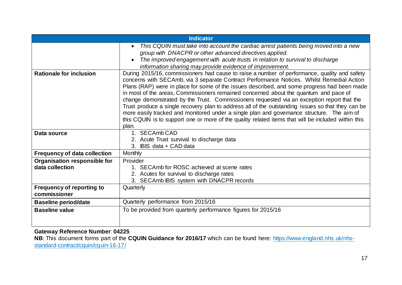|                                                  | <b>Indicator</b>                                                                                                                                                                                                                                                                                                                                                                                                                                                                                                                                                                                                                                                                                                                                                                                  |
|--------------------------------------------------|---------------------------------------------------------------------------------------------------------------------------------------------------------------------------------------------------------------------------------------------------------------------------------------------------------------------------------------------------------------------------------------------------------------------------------------------------------------------------------------------------------------------------------------------------------------------------------------------------------------------------------------------------------------------------------------------------------------------------------------------------------------------------------------------------|
|                                                  | This CQUIN must take into account the cardiac arrest patients being moved into a new<br>group with DNACPR or other advanced directives applied.<br>The improved engagement with acute trusts in relation to survival to discharge<br>information sharing may provide evidence of improvement.                                                                                                                                                                                                                                                                                                                                                                                                                                                                                                     |
| <b>Rationale for inclusion</b>                   | During 2015/16, commissioners had cause to raise a number of performance, quality and safety<br>concerns with SECAmb, via 3 separate Contract Performance Notices. Whilst Remedial Action<br>Plans (RAP) were in place for some of the issues described, and some progress had been made<br>in most of the areas, Commissioners remained concerned about the quantum and pace of<br>change demonstrated by the Trust. Commissioners requested via an exception report that the<br>Trust produce a single recovery plan to address all of the outstanding issues so that they can be<br>more easily tracked and monitored under a single plan and governance structure. The aim of<br>this CQUIN is to support one or more of the quality related items that will be included within this<br>plan. |
| Data source                                      | 1. SECAmb CAD<br>2. Acute Trust survival to discharge data<br>3. IBIS data + CAD data                                                                                                                                                                                                                                                                                                                                                                                                                                                                                                                                                                                                                                                                                                             |
| <b>Frequency of data collection</b>              | Monthly                                                                                                                                                                                                                                                                                                                                                                                                                                                                                                                                                                                                                                                                                                                                                                                           |
| Organisation responsible for                     | Provider                                                                                                                                                                                                                                                                                                                                                                                                                                                                                                                                                                                                                                                                                                                                                                                          |
| data collection                                  | 1. SECAmb for ROSC achieved at scene rates<br>2. Acutes for survival to discharge rates<br>3. SECAmb IBIS system with DNACPR records                                                                                                                                                                                                                                                                                                                                                                                                                                                                                                                                                                                                                                                              |
| <b>Frequency of reporting to</b><br>commissioner | Quarterly                                                                                                                                                                                                                                                                                                                                                                                                                                                                                                                                                                                                                                                                                                                                                                                         |
| <b>Baseline period/date</b>                      | Quarterly performance from 2015/16                                                                                                                                                                                                                                                                                                                                                                                                                                                                                                                                                                                                                                                                                                                                                                |
| <b>Baseline value</b>                            | To be provided from quarterly performance figures for 2015/16                                                                                                                                                                                                                                                                                                                                                                                                                                                                                                                                                                                                                                                                                                                                     |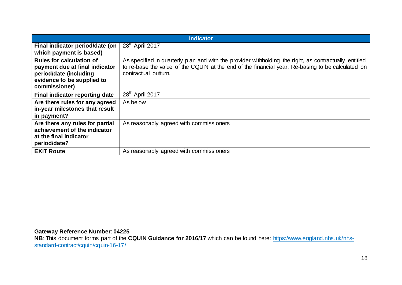| <b>Indicator</b>                                                                                          |                                                                                                                                                                                                                                    |  |  |
|-----------------------------------------------------------------------------------------------------------|------------------------------------------------------------------------------------------------------------------------------------------------------------------------------------------------------------------------------------|--|--|
| Final indicator period/date (on                                                                           | 28 <sup>th</sup> April 2017                                                                                                                                                                                                        |  |  |
| which payment is based)                                                                                   |                                                                                                                                                                                                                                    |  |  |
| <b>Rules for calculation of</b><br>payment due at final indicator<br>period/date (including               | As specified in quarterly plan and with the provider withholding the right, as contractually entitled<br>to re-base the value of the CQUIN at the end of the financial year. Re-basing to be calculated on<br>contractual outturn. |  |  |
| evidence to be supplied to<br>commissioner)                                                               |                                                                                                                                                                                                                                    |  |  |
| Final indicator reporting date                                                                            | 28 <sup>th</sup> April 2017                                                                                                                                                                                                        |  |  |
| Are there rules for any agreed<br>in-year milestones that result<br>in payment?                           | As below                                                                                                                                                                                                                           |  |  |
| Are there any rules for partial<br>achievement of the indicator<br>at the final indicator<br>period/date? | As reasonably agreed with commissioners                                                                                                                                                                                            |  |  |
| <b>EXIT Route</b>                                                                                         | As reasonably agreed with commissioners                                                                                                                                                                                            |  |  |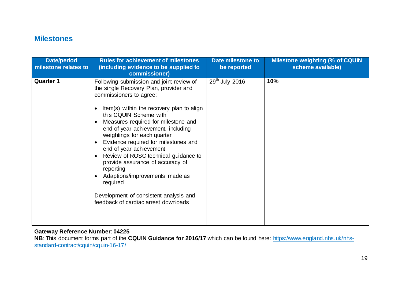## **Milestones**

| <b>Date/period</b><br>milestone relates to | <b>Rules for achievement of milestones</b><br>(including evidence to be supplied to<br>commissioner)                                                                                                                                                                                                                                                                                                                                                                                                                                                                                         | Date milestone to<br>be reported | <b>Milestone weighting (% of CQUIN</b><br>scheme available) |
|--------------------------------------------|----------------------------------------------------------------------------------------------------------------------------------------------------------------------------------------------------------------------------------------------------------------------------------------------------------------------------------------------------------------------------------------------------------------------------------------------------------------------------------------------------------------------------------------------------------------------------------------------|----------------------------------|-------------------------------------------------------------|
| <b>Quarter 1</b>                           | Following submission and joint review of<br>the single Recovery Plan, provider and<br>commissioners to agree:<br>Item(s) within the recovery plan to align<br>this CQUIN Scheme with<br>Measures required for milestone and<br>end of year achievement, including<br>weightings for each quarter<br>Evidence required for milestones and<br>end of year achievement<br>Review of ROSC technical guidance to<br>provide assurance of accuracy of<br>reporting<br>Adaptions/improvements made as<br>required<br>Development of consistent analysis and<br>feedback of cardiac arrest downloads | 29 <sup>th</sup> July 2016       | 10%                                                         |

#### **Gateway Reference Number**: **04225**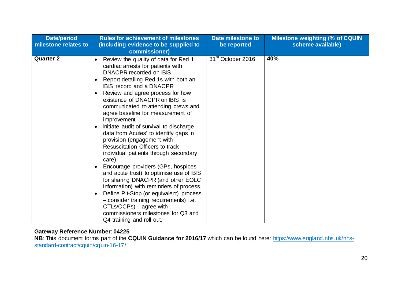| <b>Date/period</b><br>milestone relates to | <b>Rules for achievement of milestones</b><br>(including evidence to be supplied to<br>commissioner)                                                                                                                                                                                                                                                                                                                                                                                                                                                                                                                                                                                                                                                                                                                                                                                                                                                                                                  | Date milestone to<br>be reported | <b>Milestone weighting (% of CQUIN</b><br>scheme available) |
|--------------------------------------------|-------------------------------------------------------------------------------------------------------------------------------------------------------------------------------------------------------------------------------------------------------------------------------------------------------------------------------------------------------------------------------------------------------------------------------------------------------------------------------------------------------------------------------------------------------------------------------------------------------------------------------------------------------------------------------------------------------------------------------------------------------------------------------------------------------------------------------------------------------------------------------------------------------------------------------------------------------------------------------------------------------|----------------------------------|-------------------------------------------------------------|
| <b>Quarter 2</b>                           | Review the quality of data for Red 1<br>$\bullet$<br>cardiac arrests for patients with<br>DNACPR recorded on IBIS<br>Report detailing Red 1s with both an<br>$\bullet$<br><b>IBIS</b> record and a DNACPR<br>Review and agree process for how<br>$\bullet$<br>existence of DNACPR on IBIS is<br>communicated to attending crews and<br>agree baseline for measurement of<br>improvement<br>Initiate audit of survival to discharge<br>$\bullet$<br>data from Acutes' to identify gaps in<br>provision (engagement with<br><b>Resuscitation Officers to track</b><br>individual patients through secondary<br>care)<br>Encourage providers (GPs, hospices<br>$\bullet$<br>and acute trust) to optimise use of IBIS<br>for sharing DNACPR (and other EOLC<br>information) with reminders of process.<br>Define Pit-Stop (or equivalent) process<br>$\bullet$<br>- consider training requirements) i.e.<br>$CTLs/CCPs)$ – agree with<br>commissioners milestones for Q3 and<br>Q4 training and roll out. | 31 <sup>st</sup> October 2016    | 40%                                                         |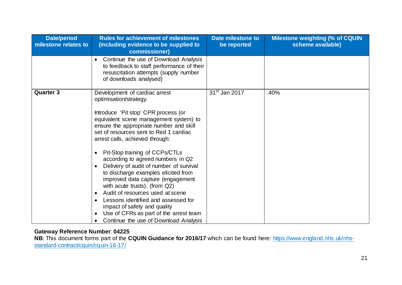| <b>Date/period</b><br>milestone relates to | <b>Rules for achievement of milestones</b><br>(including evidence to be supplied to<br>commissioner)                                                                                                                                                                                                                                                                                                                                                                                                                                                                                                                                                                                                                                                            | Date milestone to<br>be reported | <b>Milestone weighting (% of CQUIN</b><br>scheme available) |
|--------------------------------------------|-----------------------------------------------------------------------------------------------------------------------------------------------------------------------------------------------------------------------------------------------------------------------------------------------------------------------------------------------------------------------------------------------------------------------------------------------------------------------------------------------------------------------------------------------------------------------------------------------------------------------------------------------------------------------------------------------------------------------------------------------------------------|----------------------------------|-------------------------------------------------------------|
|                                            | Continue the use of Download Analysis<br>to feedback to staff performance of their<br>resuscitation attempts (supply number<br>of downloads analysed)                                                                                                                                                                                                                                                                                                                                                                                                                                                                                                                                                                                                           |                                  |                                                             |
| <b>Quarter 3</b>                           | Development of cardiac arrest<br>optimisation/strategy.<br>Introduce 'Pit stop' CPR process (or<br>equivalent scene management system) to<br>ensure the appropriate number and skill<br>set of resources sent to Red 1 cardiac<br>arrest calls, achieved through:<br>Pit-Stop training of CCPs/CTLs<br>$\bullet$<br>according to agreed numbers in Q2<br>Delivery of audit of number of survival<br>to discharge examples elicited from<br>improved data capture (engagement<br>with acute trusts). (from Q2)<br>Audit of resources used at scene<br>$\bullet$<br>Lessons identified and assessed for<br>$\bullet$<br>impact of safety and quality<br>Use of CFRs as part of the arrest team<br>$\bullet$<br>Continue the use of Download Analysis<br>$\bullet$ | 31 <sup>st</sup> Jan 2017        | .40%                                                        |